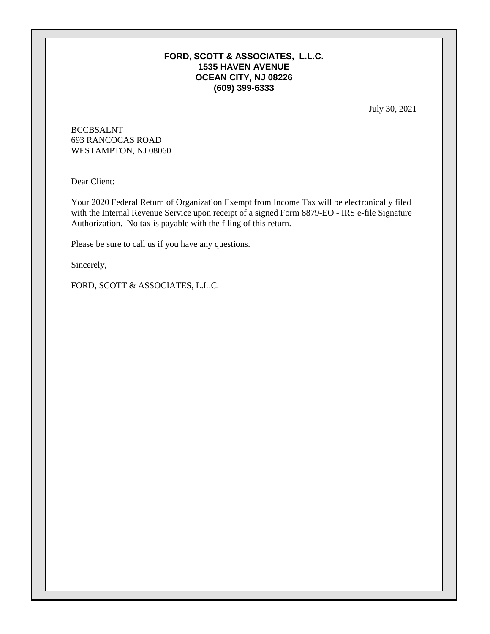## **FORD, SCOTT & ASSOCIATES, L.L.C. 1535 HAVEN AVENUE OCEAN CITY, NJ 08226 (609) 399-6333**

July 30, 2021

BCCBSALNT 693 RANCOCAS ROAD WESTAMPTON, NJ 08060

Dear Client:

Your 2020 Federal Return of Organization Exempt from Income Tax will be electronically filed with the Internal Revenue Service upon receipt of a signed Form 8879-EO - IRS e-file Signature Authorization. No tax is payable with the filing of this return.

Please be sure to call us if you have any questions.

Sincerely,

FORD, SCOTT & ASSOCIATES, L.L.C.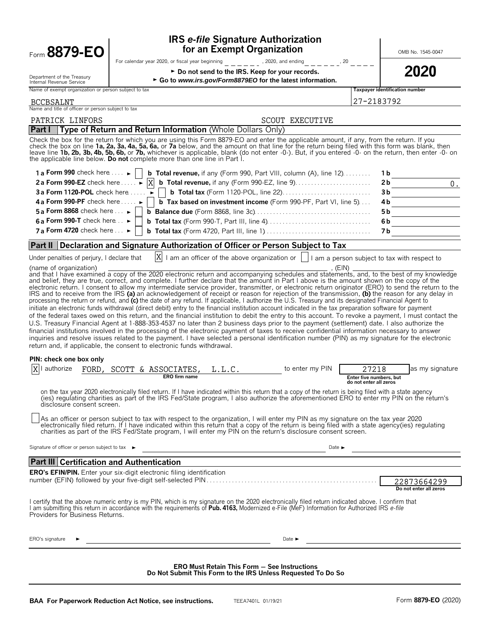| Form 8879-EO                                                                                                                                        | <b>IRS e-file Signature Authorization</b><br>for an Exempt Organization                                                                                                                                                                                                                                                                                                                                                                                                                                                                                                                                                                                                                                                                                                                                                                                                                                                                                                                                                                                                                                                                                                                                                                                                                                                                                                                                                                                                                                                                                                                                                                                                                                                                                                                                                                                                                                                                                                                                                                                                                                                                                                                                                                                                                                                                                                                                                                                                                |                                                                                        | OMB No. 1545-0047                     |
|-----------------------------------------------------------------------------------------------------------------------------------------------------|----------------------------------------------------------------------------------------------------------------------------------------------------------------------------------------------------------------------------------------------------------------------------------------------------------------------------------------------------------------------------------------------------------------------------------------------------------------------------------------------------------------------------------------------------------------------------------------------------------------------------------------------------------------------------------------------------------------------------------------------------------------------------------------------------------------------------------------------------------------------------------------------------------------------------------------------------------------------------------------------------------------------------------------------------------------------------------------------------------------------------------------------------------------------------------------------------------------------------------------------------------------------------------------------------------------------------------------------------------------------------------------------------------------------------------------------------------------------------------------------------------------------------------------------------------------------------------------------------------------------------------------------------------------------------------------------------------------------------------------------------------------------------------------------------------------------------------------------------------------------------------------------------------------------------------------------------------------------------------------------------------------------------------------------------------------------------------------------------------------------------------------------------------------------------------------------------------------------------------------------------------------------------------------------------------------------------------------------------------------------------------------------------------------------------------------------------------------------------------------|----------------------------------------------------------------------------------------|---------------------------------------|
|                                                                                                                                                     | For calendar year 2020, or fiscal year beginning<br>, 2020, and ending                                                                                                                                                                                                                                                                                                                                                                                                                                                                                                                                                                                                                                                                                                                                                                                                                                                                                                                                                                                                                                                                                                                                                                                                                                                                                                                                                                                                                                                                                                                                                                                                                                                                                                                                                                                                                                                                                                                                                                                                                                                                                                                                                                                                                                                                                                                                                                                                                 | $   , 20$                                                                              |                                       |
|                                                                                                                                                     | ► Do not send to the IRS. Keep for your records.                                                                                                                                                                                                                                                                                                                                                                                                                                                                                                                                                                                                                                                                                                                                                                                                                                                                                                                                                                                                                                                                                                                                                                                                                                                                                                                                                                                                                                                                                                                                                                                                                                                                                                                                                                                                                                                                                                                                                                                                                                                                                                                                                                                                                                                                                                                                                                                                                                       |                                                                                        | 2020                                  |
| Department of the Treasury<br>Internal Revenue Service                                                                                              | ► Go to www.irs.gov/Form8879EO for the latest information.                                                                                                                                                                                                                                                                                                                                                                                                                                                                                                                                                                                                                                                                                                                                                                                                                                                                                                                                                                                                                                                                                                                                                                                                                                                                                                                                                                                                                                                                                                                                                                                                                                                                                                                                                                                                                                                                                                                                                                                                                                                                                                                                                                                                                                                                                                                                                                                                                             |                                                                                        |                                       |
| Name of exempt organization or person subject to tax                                                                                                |                                                                                                                                                                                                                                                                                                                                                                                                                                                                                                                                                                                                                                                                                                                                                                                                                                                                                                                                                                                                                                                                                                                                                                                                                                                                                                                                                                                                                                                                                                                                                                                                                                                                                                                                                                                                                                                                                                                                                                                                                                                                                                                                                                                                                                                                                                                                                                                                                                                                                        |                                                                                        | Taxpayer identification number        |
| BCCBSALNT<br>Name and title of officer or person subject to tax                                                                                     |                                                                                                                                                                                                                                                                                                                                                                                                                                                                                                                                                                                                                                                                                                                                                                                                                                                                                                                                                                                                                                                                                                                                                                                                                                                                                                                                                                                                                                                                                                                                                                                                                                                                                                                                                                                                                                                                                                                                                                                                                                                                                                                                                                                                                                                                                                                                                                                                                                                                                        |                                                                                        | 27-2183792                            |
| PATRICK LINFORS                                                                                                                                     | <b>SCOUT EXECUTIVE</b>                                                                                                                                                                                                                                                                                                                                                                                                                                                                                                                                                                                                                                                                                                                                                                                                                                                                                                                                                                                                                                                                                                                                                                                                                                                                                                                                                                                                                                                                                                                                                                                                                                                                                                                                                                                                                                                                                                                                                                                                                                                                                                                                                                                                                                                                                                                                                                                                                                                                 |                                                                                        |                                       |
| <b>Part I</b>                                                                                                                                       | Type of Return and Return Information (Whole Dollars Only)                                                                                                                                                                                                                                                                                                                                                                                                                                                                                                                                                                                                                                                                                                                                                                                                                                                                                                                                                                                                                                                                                                                                                                                                                                                                                                                                                                                                                                                                                                                                                                                                                                                                                                                                                                                                                                                                                                                                                                                                                                                                                                                                                                                                                                                                                                                                                                                                                             |                                                                                        |                                       |
|                                                                                                                                                     | Check the box for the return for which you are using this Form 8879-EO and enter the applicable amount, if any, from the return. If you<br>check the box on line 1a, 2a, 3a, 4a, 5a, 6a, or 7a below, and the amount on that line for the return being filed with this form was blank, then<br>leave line 1b, 2b, 3b, 4b, 5b, 6b, or 7b, whichever is applicable, blank (do not enter -0-). But, if you entered -0- on the return, then enter -0- on<br>the applicable line below. Do not complete more than one line in Part I.                                                                                                                                                                                                                                                                                                                                                                                                                                                                                                                                                                                                                                                                                                                                                                                                                                                                                                                                                                                                                                                                                                                                                                                                                                                                                                                                                                                                                                                                                                                                                                                                                                                                                                                                                                                                                                                                                                                                                       |                                                                                        |                                       |
| 1 a Form 990 check here $\ldots \rightarrow \blacksquare$                                                                                           | <b>b Total revenue,</b> if any (Form 990, Part VIII, column $(A)$ , line $12$ )                                                                                                                                                                                                                                                                                                                                                                                                                                                                                                                                                                                                                                                                                                                                                                                                                                                                                                                                                                                                                                                                                                                                                                                                                                                                                                                                                                                                                                                                                                                                                                                                                                                                                                                                                                                                                                                                                                                                                                                                                                                                                                                                                                                                                                                                                                                                                                                                        |                                                                                        | 1 b                                   |
| 2a Form 990-EZ check here $\ldots$ $\blacktriangleright$ $\vert$ X                                                                                  |                                                                                                                                                                                                                                                                                                                                                                                                                                                                                                                                                                                                                                                                                                                                                                                                                                                                                                                                                                                                                                                                                                                                                                                                                                                                                                                                                                                                                                                                                                                                                                                                                                                                                                                                                                                                                                                                                                                                                                                                                                                                                                                                                                                                                                                                                                                                                                                                                                                                                        |                                                                                        | 0.<br>2b                              |
| 3a Form 1120-POL check here $\dots$                                                                                                                 |                                                                                                                                                                                                                                                                                                                                                                                                                                                                                                                                                                                                                                                                                                                                                                                                                                                                                                                                                                                                                                                                                                                                                                                                                                                                                                                                                                                                                                                                                                                                                                                                                                                                                                                                                                                                                                                                                                                                                                                                                                                                                                                                                                                                                                                                                                                                                                                                                                                                                        |                                                                                        | 3b                                    |
| 4 a Form 990-PF check here $\dots \rightarrow$                                                                                                      | <b>b</b> Tax based on investment income (Form 990-PF, Part VI, line 5)                                                                                                                                                                                                                                                                                                                                                                                                                                                                                                                                                                                                                                                                                                                                                                                                                                                                                                                                                                                                                                                                                                                                                                                                                                                                                                                                                                                                                                                                                                                                                                                                                                                                                                                                                                                                                                                                                                                                                                                                                                                                                                                                                                                                                                                                                                                                                                                                                 |                                                                                        | 4b.                                   |
| 5 a Form 8868 check here $\ldots \blacktriangleright$                                                                                               |                                                                                                                                                                                                                                                                                                                                                                                                                                                                                                                                                                                                                                                                                                                                                                                                                                                                                                                                                                                                                                                                                                                                                                                                                                                                                                                                                                                                                                                                                                                                                                                                                                                                                                                                                                                                                                                                                                                                                                                                                                                                                                                                                                                                                                                                                                                                                                                                                                                                                        |                                                                                        | 5 b                                   |
| 6 a Form 990-T check here $\ldots$                                                                                                                  |                                                                                                                                                                                                                                                                                                                                                                                                                                                                                                                                                                                                                                                                                                                                                                                                                                                                                                                                                                                                                                                                                                                                                                                                                                                                                                                                                                                                                                                                                                                                                                                                                                                                                                                                                                                                                                                                                                                                                                                                                                                                                                                                                                                                                                                                                                                                                                                                                                                                                        |                                                                                        | 6b                                    |
| 7 a Form 4720 check here $\ldots \blacktriangleright$                                                                                               |                                                                                                                                                                                                                                                                                                                                                                                                                                                                                                                                                                                                                                                                                                                                                                                                                                                                                                                                                                                                                                                                                                                                                                                                                                                                                                                                                                                                                                                                                                                                                                                                                                                                                                                                                                                                                                                                                                                                                                                                                                                                                                                                                                                                                                                                                                                                                                                                                                                                                        |                                                                                        | 7 b                                   |
| Part II                                                                                                                                             | Declaration and Signature Authorization of Officer or Person Subject to Tax                                                                                                                                                                                                                                                                                                                                                                                                                                                                                                                                                                                                                                                                                                                                                                                                                                                                                                                                                                                                                                                                                                                                                                                                                                                                                                                                                                                                                                                                                                                                                                                                                                                                                                                                                                                                                                                                                                                                                                                                                                                                                                                                                                                                                                                                                                                                                                                                            |                                                                                        |                                       |
| Under penalties of perjury, I declare that<br>(name of organization)<br>PIN: check one box only<br>authorize<br>FORD,<br>disclosure consent screen. | $ X $ I am an officer of the above organization or $ $   I am a person subject to tax with respect to<br>and that I have examined a copy of the 2020 electronic return and accompanying schedules and statements, and, to the best of my knowledge<br>and belief, they are true, correct, and complete. I further declare that the amount in Part I above is the amount shown on the copy of the<br>electronic return. I consent to allow my intermediate service provider, transmitter, or electronic return originator (ERO) to send the return to the<br>IRS and to receive from the IRS (a) an acknowledgement of receipt or reason for rejection of the transmission, (b) the reason for any delay in<br>processing the return or refund, and (c) the date of any refund. If applicable, I authorize the U.S. Treasury and its designated Financial Agent to<br>initiate an electronic funds withdrawal (direct debit) entry to the financial institution account indicated in the tax preparation software for payment<br>of the federal taxes owed on this return, and the financial institution to debit the entry to this account. To revoke a payment, I must contact the<br>U.S. Treasury Financial Agent at 1-888-353-4537 no later than 2 business days prior to the payment (settlement) date. I also authorize the<br>financial institutions involved in the processing of the electronic payment of taxes to receive confidential information necessary to answer<br>inquiries and resolve issues related to the payment. I have selected a personal identification number (PIN) as my signature for the electronic<br>return and, if applicable, the consent to electronic funds withdrawal.<br>SCOTT & ASSOCIATES,<br>L.L.C.<br><b>ERO</b> firm name<br>on the tax year 2020 electronically filed return. If I have indicated within this return that a copy of the return is being filed with a state agency<br>(ies) requiating charities as part of the IRS Fed/State program, I also authorize the aforementioned ERO to enter my PIN on the return's<br>As an officer or person subject to tax with respect to the organization, I will enter my PIN as my signature on the tax year 2020<br>electronically filed return. If I have indicated within this return that a copy of the return is being filed with a state agency(ies) regulating<br>charities as part of the IRS Fed/State program, I will enter my PIN on the return's disclosure consent screen. | (EIN)<br>to enter my PIN<br>27218<br>Enter five numbers, but<br>do not enter all zeros | as my signature                       |
| Signature of officer or person subject to tax ►                                                                                                     |                                                                                                                                                                                                                                                                                                                                                                                                                                                                                                                                                                                                                                                                                                                                                                                                                                                                                                                                                                                                                                                                                                                                                                                                                                                                                                                                                                                                                                                                                                                                                                                                                                                                                                                                                                                                                                                                                                                                                                                                                                                                                                                                                                                                                                                                                                                                                                                                                                                                                        | Date $\blacktriangleright$                                                             |                                       |
| <b>Part III Certification and Authentication</b>                                                                                                    |                                                                                                                                                                                                                                                                                                                                                                                                                                                                                                                                                                                                                                                                                                                                                                                                                                                                                                                                                                                                                                                                                                                                                                                                                                                                                                                                                                                                                                                                                                                                                                                                                                                                                                                                                                                                                                                                                                                                                                                                                                                                                                                                                                                                                                                                                                                                                                                                                                                                                        |                                                                                        |                                       |
|                                                                                                                                                     | <b>ERO's EFIN/PIN.</b> Enter your six-digit electronic filing identification                                                                                                                                                                                                                                                                                                                                                                                                                                                                                                                                                                                                                                                                                                                                                                                                                                                                                                                                                                                                                                                                                                                                                                                                                                                                                                                                                                                                                                                                                                                                                                                                                                                                                                                                                                                                                                                                                                                                                                                                                                                                                                                                                                                                                                                                                                                                                                                                           |                                                                                        |                                       |
|                                                                                                                                                     |                                                                                                                                                                                                                                                                                                                                                                                                                                                                                                                                                                                                                                                                                                                                                                                                                                                                                                                                                                                                                                                                                                                                                                                                                                                                                                                                                                                                                                                                                                                                                                                                                                                                                                                                                                                                                                                                                                                                                                                                                                                                                                                                                                                                                                                                                                                                                                                                                                                                                        |                                                                                        | 22873664299<br>Do not enter all zeros |
| Providers for Business Returns.                                                                                                                     | I certify that the above numeric entry is my PIN, which is my signature on the 2020 electronically filed return indicated above. I confirm that<br>I am submitting this return in accordance with the requirements of Pub. 4163, Modernized e-File (MeF) Information for Authorized IRS e-file                                                                                                                                                                                                                                                                                                                                                                                                                                                                                                                                                                                                                                                                                                                                                                                                                                                                                                                                                                                                                                                                                                                                                                                                                                                                                                                                                                                                                                                                                                                                                                                                                                                                                                                                                                                                                                                                                                                                                                                                                                                                                                                                                                                         |                                                                                        |                                       |

**Do Not Submit This Form to the IRS Unless Requested To Do So**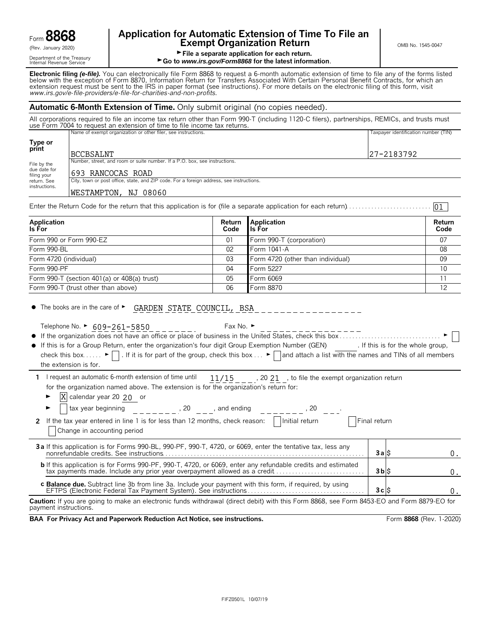Department of the Treasury<br>Internal Revenue Service

# **Application for Automatic Extension of Time To File an Form B8668 Exempt Organization Return** CRET **EXEMPT ON B No. 1545-0047**

01

File a separate application for each return.

► Go to *www.irs.gov/Form8868* for the latest information.

**Electronic filing** *(e-file).* You can electronically file Form 8868 to request a 6-month automatic extension of time to file any of the forms listed below with the exception of Form 8870, Information Return for Transfers Associated With Certain Personal Benefit Contracts, for which an extension request must be sent to the IRS in paper format (see instructions). For more details on the electronic filing of this form, visit *www.irs.gov/e*-*file*-*providers/e-file-for-charities-and-non-profits*.

#### **Automatic 6-Month Extension of Time.** Only submit original (no copies needed).

All corporations required to file an income tax return other than Form 990-T (including 1120-C filers), partnerships, REMICs, and trusts must use Form 7004 to request an extension of time to file income tax returns. Name of exempt organization or other filer, see instructions. The magnetic execution of the control of the control of the control of the control of the control of the control of the control of the control of the control of

| Type or<br>print                                                                                        | BCCBSALNT                                                                  | 27-2183792 |  |
|---------------------------------------------------------------------------------------------------------|----------------------------------------------------------------------------|------------|--|
| File by the                                                                                             | Number, street, and room or suite number. If a P.O. box, see instructions. |            |  |
| due date for<br>filing your                                                                             | 1693 RANCOCAS ROAD                                                         |            |  |
| City, town or post office, state, and ZIP code. For a foreign address, see instructions.<br>return. See |                                                                            |            |  |
| instructions.                                                                                           | NJ 08060<br><b>WESTAMPTON,</b>                                             |            |  |

Enter the Return Code for the return that this application is for (file a separate application for each return). . . . . . . . . . . . . . . . . . . . . . . . . . .

| Application<br>Is For                         | Return<br>Code | Application<br>ls For             | Return<br>Code |
|-----------------------------------------------|----------------|-----------------------------------|----------------|
| Form 990 or Form 990-EZ                       | 01             | Form 990-T (corporation)          | 07             |
| Form 990-BL                                   | 02             | Form 1041-A                       | 08             |
| Form 4720 (individual)                        | 03             | Form 4720 (other than individual) | 09             |
| Form 990-PF                                   | 04             | Form 5227                         | 10             |
| Form 990-T (section 401(a) or $408(a)$ trust) | 05             | Form 6069                         |                |
| Form 990-T (trust other than above)           | 06             | Form 8870                         | $12^{12}$      |

 $\bullet$  The books are in the care of  $\blacktriangleright$ GARDEN STATE COUNCIL, BSA

|  | Telephone No. ► 609-261-5850 |
|--|------------------------------|
|  |                              |

Fax No.  $\blacktriangleright$ 

| • If this is for a Group Return, enter the organization's four digit Group Exemption Number (GEN)                                                                        | . If this is for the whole group, |
|--------------------------------------------------------------------------------------------------------------------------------------------------------------------------|-----------------------------------|
| check this box $\blacktriangleright$   . If it is for part of the group, check this box $\blacktriangleright$   and attach a list with the names and TINs of all members |                                   |

the extension is for.

| I linequest an automatic 6-month extension of time until $11/15$                      |  | , 20 21, to file the exempt organization return |
|---------------------------------------------------------------------------------------|--|-------------------------------------------------|
| for the organization named above. The extension is for the organization's return for: |  |                                                 |

 $\blacktriangleright$   $\mathbf{X}$  calendar year 20 20 or

| tax year beginning<br>20<br>and ending                                                                                         |                |  |
|--------------------------------------------------------------------------------------------------------------------------------|----------------|--|
| Initial return<br>2 If the tax year entered in line 1 is for less than 12 months, check reason:<br>Change in accounting period | Final return   |  |
| 3a If this application is for Forms 990-BL, 990-PF, 990-T, 4720, or 6069, enter the tentative tax, less any                    | 3alS           |  |
| <b>b</b> If this application is for Forms 990-PF, 990-T, 4720, or 6069, enter any refundable credits and estimated             | $3b$ $\dot{S}$ |  |
| <b>c Balance due.</b> Subtract line 3b from line 3a. Include your payment with this form, if required, by using                | 3cS            |  |
|                                                                                                                                |                |  |

**Caution:** If you are going to make an electronic funds withdrawal (direct debit) with this Form 8868, see Form 8453-EO and Form 8879-EO for payment instructions.

**BAA For Privacy Act and Paperwork Reduction Act Notice, see instructions. Form 8868 (Rev. 1-2020)**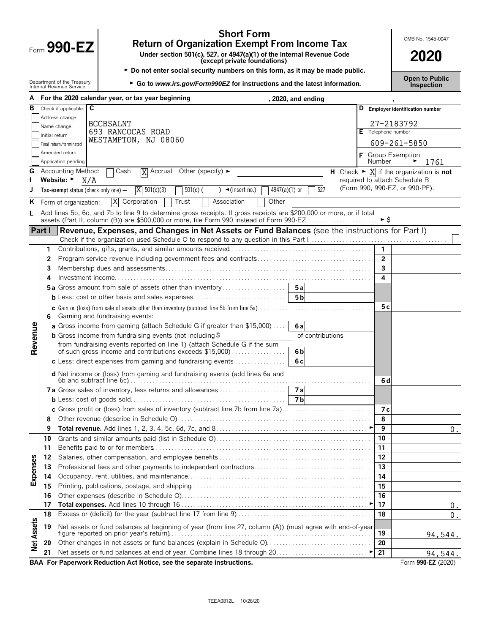|                   |                |                                                        | Return of Organization Exempt From Income Tax                                                                                         |                                                        |                    |                         |                                                                              |
|-------------------|----------------|--------------------------------------------------------|---------------------------------------------------------------------------------------------------------------------------------------|--------------------------------------------------------|--------------------|-------------------------|------------------------------------------------------------------------------|
|                   |                | Form $990$ -EZ                                         | Under section 501(c), 527, or 4947(a)(1) of the Internal Revenue Code                                                                 |                                                        |                    |                         | 2020                                                                         |
|                   |                |                                                        |                                                                                                                                       | (except private foundations)                           |                    |                         |                                                                              |
|                   |                |                                                        | ► Do not enter social security numbers on this form, as it may be made public.                                                        |                                                        |                    |                         | <b>Open to Public</b>                                                        |
|                   |                | Department of the Treasury<br>Internal Revenue Service | ► Go to www.irs.gov/Form990EZ for instructions and the latest information.                                                            |                                                        |                    |                         | Inspection                                                                   |
|                   |                |                                                        | A For the 2020 calendar year, or tax year beginning                                                                                   |                                                        | , 2020, and ending |                         |                                                                              |
| в                 |                | C<br>Check if applicable:                              |                                                                                                                                       |                                                        |                    |                         | D Employer identification number                                             |
|                   |                | Address change                                         | <b>BCCBSALNT</b>                                                                                                                      |                                                        |                    |                         | 27-2183792                                                                   |
|                   | Initial return | Name change                                            | 693 RANCOCAS ROAD                                                                                                                     |                                                        |                    | E Telephone number      |                                                                              |
|                   |                | Final return/terminated                                | WESTAMPTON, NJ 08060                                                                                                                  |                                                        |                    |                         | 609-261-5850                                                                 |
|                   |                | Amended return                                         |                                                                                                                                       |                                                        |                    | F Group Exemption       |                                                                              |
|                   |                | Application pending                                    |                                                                                                                                       |                                                        |                    | <b>Number</b>           | 1761                                                                         |
| G                 |                | <b>Accounting Method:</b>                              | $\sqcap$ Cash<br>$\overline{X}$ Accrual Other (specify) $\blacktriangleright$                                                         |                                                        |                    |                         | H Check $\blacktriangleright \overline{X}$ if the organization is <b>not</b> |
|                   |                | Website: ►<br>N/A                                      |                                                                                                                                       |                                                        |                    |                         | required to attach Schedule B                                                |
|                   |                | Tax-exempt status (check only one) -                   | $X = 501(c)(3)$<br>$501(c)$ (                                                                                                         | $4947(a)(1)$ or<br>) $\blacktriangleleft$ (insert no.) | 527                |                         | (Form 990, 990-EZ, or 990-PF).                                               |
|                   |                | K Form of organization:                                | X Corporation<br>Trust                                                                                                                | Other<br>Association                                   |                    |                         |                                                                              |
| L.                |                |                                                        | Add lines 5b, 6c, and 7b to line 9 to determine gross receipts. If gross receipts are \$200,000 or more, or if total                  |                                                        |                    |                         |                                                                              |
|                   |                |                                                        | assets (Part II, column (B)) are \$500,000 or more, file Form 990 instead of Form 990-EZ                                              |                                                        |                    | $\blacktriangleright$ S |                                                                              |
|                   | Part I         |                                                        | Revenue, Expenses, and Changes in Net Assets or Fund Balances (see the instructions for Part I)                                       |                                                        |                    |                         |                                                                              |
|                   | 1              |                                                        |                                                                                                                                       |                                                        |                    | $\mathbf{1}$            |                                                                              |
|                   | 2              |                                                        |                                                                                                                                       |                                                        |                    | $\overline{2}$          |                                                                              |
|                   | 3              |                                                        |                                                                                                                                       |                                                        |                    | $\overline{3}$          |                                                                              |
|                   | 4              |                                                        |                                                                                                                                       |                                                        |                    | 4                       |                                                                              |
|                   |                |                                                        | <b>5a</b> Gross amount from sale of assets other than inventory                                                                       |                                                        | 5a                 |                         |                                                                              |
|                   |                |                                                        | <b>b</b> Less: cost or other basis and sales expenses                                                                                 |                                                        | 5 <sub>b</sub>     |                         |                                                                              |
|                   |                |                                                        | c Gain or (loss) from sale of assets other than inventory (subtract line 5b from line 5a)                                             |                                                        |                    | 5 c                     |                                                                              |
|                   | 6              |                                                        | Gaming and fundraising events:                                                                                                        |                                                        |                    |                         |                                                                              |
| Revenue           |                |                                                        | a Gross income from gaming (attach Schedule G if greater than \$15,000)                                                               |                                                        | 6al                |                         |                                                                              |
|                   |                |                                                        | <b>b</b> Gross income from fundraising events (not including $\ddot{\theta}$                                                          |                                                        | of contributions   |                         |                                                                              |
|                   |                |                                                        | from fundraising events reported on line 1) (attach Schedule G if the sum<br>of such gross income and contributions exceeds \$15,000) |                                                        | 6 <sub>b</sub>     |                         |                                                                              |
|                   |                |                                                        | c Less: direct expenses from gaming and fundraising events                                                                            |                                                        | 6c                 |                         |                                                                              |
|                   |                |                                                        | d Net income or (loss) from gaming and fundraising events (add lines 6a and                                                           |                                                        |                    |                         |                                                                              |
|                   |                |                                                        |                                                                                                                                       |                                                        |                    | 6 d                     |                                                                              |
|                   |                |                                                        |                                                                                                                                       |                                                        | 7а                 |                         |                                                                              |
|                   |                |                                                        |                                                                                                                                       |                                                        | 7b                 |                         |                                                                              |
|                   |                |                                                        | c Gross profit or (loss) from sales of inventory (subtract line 7b from line 7a)                                                      |                                                        |                    | 7 с                     |                                                                              |
|                   | 8              |                                                        |                                                                                                                                       |                                                        |                    | 8                       |                                                                              |
|                   | 9              |                                                        |                                                                                                                                       |                                                        |                    | 9                       | 0.                                                                           |
|                   | 10             |                                                        |                                                                                                                                       |                                                        |                    | 10                      |                                                                              |
|                   | 11             |                                                        |                                                                                                                                       |                                                        |                    | 11                      |                                                                              |
|                   | 12             |                                                        |                                                                                                                                       |                                                        |                    | 12                      |                                                                              |
| Expenses          | 13             |                                                        |                                                                                                                                       |                                                        |                    | 13<br>14                |                                                                              |
|                   | 14<br>15       |                                                        |                                                                                                                                       |                                                        |                    | 15                      |                                                                              |
|                   | 16             |                                                        |                                                                                                                                       |                                                        |                    | 16                      |                                                                              |
|                   | 17             |                                                        |                                                                                                                                       |                                                        |                    | 17                      | $0$ .                                                                        |
|                   | 18             |                                                        |                                                                                                                                       |                                                        |                    | 18                      | $0$ .                                                                        |
| <b>Net Assets</b> | 19             |                                                        | Net assets or fund balances at beginning of year (from line 27, column (A)) (must agree with end-of-year                              |                                                        |                    |                         |                                                                              |
|                   |                |                                                        |                                                                                                                                       |                                                        |                    | 19                      | 94,544.                                                                      |
|                   | 20             |                                                        | Other changes in net assets or fund balances (explain in Schedule O)                                                                  |                                                        |                    | 20                      |                                                                              |
|                   | 21             |                                                        |                                                                                                                                       |                                                        |                    | 21                      | 94,544.                                                                      |
|                   |                |                                                        |                                                                                                                                       |                                                        |                    |                         |                                                                              |

**Short Form Short Form Return of Organization Exempt From Income Tax** 

**BAA For Paperwork Reduction Act Notice, see the separate instructions.** Form **990-EZ** (2020)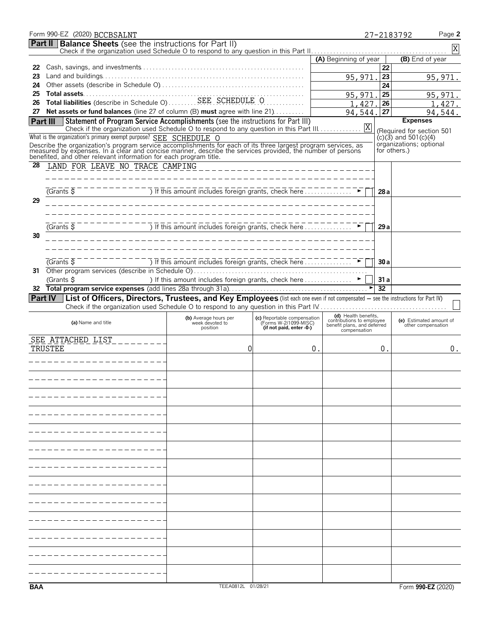|            | Form 990-EZ (2020) BCCBSALNT                                                                                                                                                                                                         |                                                                                 |                                                                                  |                                                   |                 | Page 2<br>27-2183792                    |
|------------|--------------------------------------------------------------------------------------------------------------------------------------------------------------------------------------------------------------------------------------|---------------------------------------------------------------------------------|----------------------------------------------------------------------------------|---------------------------------------------------|-----------------|-----------------------------------------|
|            | <b>Part II</b> Balance Sheets (see the instructions for Part II)                                                                                                                                                                     |                                                                                 |                                                                                  |                                                   |                 | $\overline{X}$                          |
|            |                                                                                                                                                                                                                                      |                                                                                 |                                                                                  | (A) Beginning of year                             |                 | (B) End of year                         |
| 22         |                                                                                                                                                                                                                                      |                                                                                 |                                                                                  |                                                   | 22              |                                         |
| 23         |                                                                                                                                                                                                                                      |                                                                                 |                                                                                  | 95,971                                            | $\overline{23}$ | 95,971                                  |
| 24         |                                                                                                                                                                                                                                      |                                                                                 |                                                                                  |                                                   | 24              |                                         |
| 25         |                                                                                                                                                                                                                                      |                                                                                 |                                                                                  | 95,971                                            | 25              | 95, 971.                                |
| 26         | Total assets<br>Constant in Schedule O SEE SCHEDULE O                                                                                                                                                                                |                                                                                 |                                                                                  | 1,427                                             | 26              | 1,427.                                  |
|            | 27 Net assets or fund balances (line 27 of column (B) must agree with line 21)                                                                                                                                                       |                                                                                 |                                                                                  | 94,544.                                           | 27              | 94,544.                                 |
|            | Statement of Program Service Accomplishments (see the instructions for Part III)<br><b>Part III</b>                                                                                                                                  |                                                                                 |                                                                                  |                                                   |                 | <b>Expenses</b>                         |
|            | Check if the organization used Schedule O to respond to any question in this Part III.                                                                                                                                               |                                                                                 |                                                                                  | X                                                 |                 | (Required for section 501               |
|            | What is the organization's primary exempt purpose? SEE SCHEDULE O                                                                                                                                                                    |                                                                                 |                                                                                  |                                                   |                 | $(c)(3)$ and 501 $(c)(4)$               |
|            | Describe the organization's program service accomplishments for each of its three largest program services, as<br>measured by expenses. In a clear and concise manner, describe the services provided, the number of persons<br>bene |                                                                                 |                                                                                  |                                                   |                 | organizations; optional<br>for others.) |
|            |                                                                                                                                                                                                                                      |                                                                                 |                                                                                  |                                                   |                 |                                         |
| 28         | LAND FOR LEAVE NO TRACE CAMPING                                                                                                                                                                                                      |                                                                                 | --------------------------                                                       |                                                   |                 |                                         |
|            |                                                                                                                                                                                                                                      |                                                                                 |                                                                                  |                                                   |                 |                                         |
|            |                                                                                                                                                                                                                                      |                                                                                 |                                                                                  |                                                   |                 |                                         |
|            | (Grants                                                                                                                                                                                                                              | ) If this amount includes foreign grants, check here                            |                                                                                  |                                                   | 28 a            |                                         |
| 29         |                                                                                                                                                                                                                                      | __________________________________                                              |                                                                                  |                                                   |                 |                                         |
|            |                                                                                                                                                                                                                                      |                                                                                 |                                                                                  |                                                   |                 |                                         |
|            | $G$ rants $\overline{S}$                                                                                                                                                                                                             | If this amount includes foreign grants, check here                              |                                                                                  |                                                   | 29a             |                                         |
| 30         |                                                                                                                                                                                                                                      |                                                                                 |                                                                                  |                                                   |                 |                                         |
|            |                                                                                                                                                                                                                                      |                                                                                 |                                                                                  |                                                   |                 |                                         |
|            |                                                                                                                                                                                                                                      |                                                                                 |                                                                                  |                                                   |                 |                                         |
|            | $G$ rants $\overline{S}$                                                                                                                                                                                                             | J If this amount includes foreign grants, check here                            |                                                                                  |                                                   | 30 a            |                                         |
| 31         |                                                                                                                                                                                                                                      |                                                                                 |                                                                                  |                                                   |                 |                                         |
|            | (Grants \$                                                                                                                                                                                                                           | ) If this amount includes foreign grants, check here $\ldots$ $\ldots$ $\ldots$ |                                                                                  |                                                   | 31a             |                                         |
| 32         |                                                                                                                                                                                                                                      |                                                                                 |                                                                                  |                                                   | 32              |                                         |
|            | List of Officers, Directors, Trustees, and Key Employees (list each one even if not compensated - see the instructions for Part IV)<br>Part IV                                                                                       |                                                                                 |                                                                                  |                                                   |                 |                                         |
|            |                                                                                                                                                                                                                                      |                                                                                 |                                                                                  |                                                   |                 |                                         |
|            | (a) Name and title                                                                                                                                                                                                                   | (b) Average hours per<br>week devoted to                                        | (c) Reportable compensation<br>(Forms W-2/1099-MISC)<br>(if not paid, enter -0-) | (d) Health benefits,<br>contributions to employee |                 | (e) Estimated amount of                 |
|            |                                                                                                                                                                                                                                      | position                                                                        |                                                                                  | benefit plans, and deferred<br>compensation       |                 | other compensation                      |
|            | SEE ATTACHED LIST<br><u> 1999 – Albert Albert III.</u>                                                                                                                                                                               |                                                                                 |                                                                                  |                                                   |                 |                                         |
|            | TRUSTEE                                                                                                                                                                                                                              | 0                                                                               |                                                                                  | 0.                                                | 0.              | 0.                                      |
|            | ______________                                                                                                                                                                                                                       |                                                                                 |                                                                                  |                                                   |                 |                                         |
|            |                                                                                                                                                                                                                                      |                                                                                 |                                                                                  |                                                   |                 |                                         |
|            |                                                                                                                                                                                                                                      |                                                                                 |                                                                                  |                                                   |                 |                                         |
|            |                                                                                                                                                                                                                                      |                                                                                 |                                                                                  |                                                   |                 |                                         |
|            |                                                                                                                                                                                                                                      |                                                                                 |                                                                                  |                                                   |                 |                                         |
|            |                                                                                                                                                                                                                                      |                                                                                 |                                                                                  |                                                   |                 |                                         |
|            |                                                                                                                                                                                                                                      |                                                                                 |                                                                                  |                                                   |                 |                                         |
|            |                                                                                                                                                                                                                                      |                                                                                 |                                                                                  |                                                   |                 |                                         |
|            |                                                                                                                                                                                                                                      |                                                                                 |                                                                                  |                                                   |                 |                                         |
|            |                                                                                                                                                                                                                                      |                                                                                 |                                                                                  |                                                   |                 |                                         |
|            |                                                                                                                                                                                                                                      |                                                                                 |                                                                                  |                                                   |                 |                                         |
|            |                                                                                                                                                                                                                                      |                                                                                 |                                                                                  |                                                   |                 |                                         |
|            |                                                                                                                                                                                                                                      |                                                                                 |                                                                                  |                                                   |                 |                                         |
|            |                                                                                                                                                                                                                                      |                                                                                 |                                                                                  |                                                   |                 |                                         |
|            |                                                                                                                                                                                                                                      |                                                                                 |                                                                                  |                                                   |                 |                                         |
|            |                                                                                                                                                                                                                                      |                                                                                 |                                                                                  |                                                   |                 |                                         |
|            |                                                                                                                                                                                                                                      |                                                                                 |                                                                                  |                                                   |                 |                                         |
|            |                                                                                                                                                                                                                                      |                                                                                 |                                                                                  |                                                   |                 |                                         |
|            |                                                                                                                                                                                                                                      |                                                                                 |                                                                                  |                                                   |                 |                                         |
|            |                                                                                                                                                                                                                                      |                                                                                 |                                                                                  |                                                   |                 |                                         |
|            |                                                                                                                                                                                                                                      |                                                                                 |                                                                                  |                                                   |                 |                                         |
|            |                                                                                                                                                                                                                                      |                                                                                 |                                                                                  |                                                   |                 |                                         |
|            |                                                                                                                                                                                                                                      |                                                                                 |                                                                                  |                                                   |                 |                                         |
|            |                                                                                                                                                                                                                                      |                                                                                 |                                                                                  |                                                   |                 |                                         |
| <b>BAA</b> |                                                                                                                                                                                                                                      | TEEA0812L 01/28/21                                                              |                                                                                  |                                                   |                 | Form 990-EZ (2020)                      |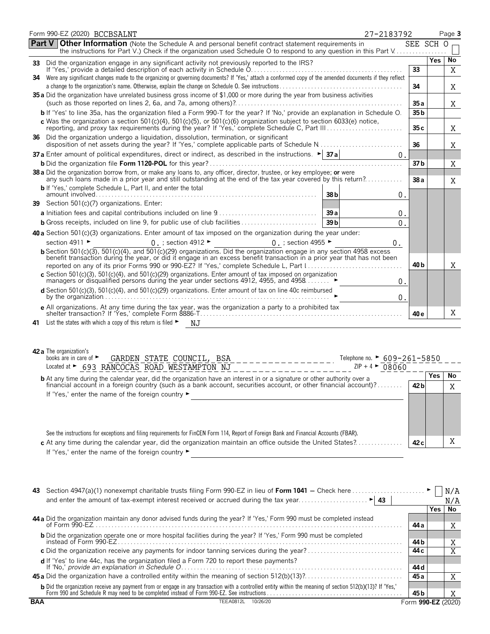|        | Form 990-EZ (2020) BCCBSALNT<br>27-2183792                                                                                                                                                                                                           |                 |            | Page 3 |
|--------|------------------------------------------------------------------------------------------------------------------------------------------------------------------------------------------------------------------------------------------------------|-----------------|------------|--------|
| Part V | <b>Other Information</b> (Note the Schedule A and personal benefit contract statement requirements in<br>the instructions for Part V.) Check if the organization used Schedule O to respond to any question in this Part V                           | SEE SCH O       |            |        |
| 33     | Did the organization engage in any significant activity not previously reported to the IRS?                                                                                                                                                          |                 | <b>Yes</b> | No     |
| 34.    | Were any significant changes made to the organizing or governing documents? If 'Yes,' attach a conformed copy of the amended documents if they reflect                                                                                               | 33              |            | X      |
|        |                                                                                                                                                                                                                                                      | 34              |            | Χ      |
|        | 35 a Did the organization have unrelated business gross income of \$1,000 or more during the year from business activities                                                                                                                           |                 |            |        |
|        |                                                                                                                                                                                                                                                      | 35 a            |            | Χ      |
|        | b If 'Yes' to line 35a, has the organization filed a Form 990-T for the year? If 'No,' provide an explanation in Schedule O.                                                                                                                         | 35 <sub>b</sub> |            |        |
|        | c Was the organization a section $501(c)(4)$ , $501(c)(5)$ , or $501(c)(6)$ organization subject to section 6033(e) notice,                                                                                                                          | 35 c            |            | Χ      |
|        | 36 Did the organization undergo a liquidation, dissolution, termination, or significant                                                                                                                                                              | 36              |            | X      |
|        | <b>37 a</b> Enter amount of political expenditures, direct or indirect, as described in the instructions. $\blacktriangleright$ <b>37 a</b><br>$0$ .                                                                                                 |                 |            |        |
|        |                                                                                                                                                                                                                                                      | 37 b            |            | Χ      |
|        | 38 a Did the organization borrow from, or make any loans to, any officer, director, trustee, or key employee; or were<br>any such loans made in a prior year and still outstanding at the end of the tax year covered by this return?                | 38a             |            | Χ      |
|        | <b>b</b> If 'Yes,' complete Schedule L, Part II, and enter the total<br>38 b<br>0.                                                                                                                                                                   |                 |            |        |
|        | 39 Section 501(c)(7) organizations. Enter:                                                                                                                                                                                                           |                 |            |        |
|        | 39a<br>0.                                                                                                                                                                                                                                            |                 |            |        |
|        | <b>b</b> Gross receipts, included on line 9, for public use of club facilities<br>39 <sub>b</sub><br>$0$ .                                                                                                                                           |                 |            |        |
|        | <b>40 a</b> Section 501 $(c)(3)$ organizations. Enter amount of tax imposed on the organization during the year under:                                                                                                                               |                 |            |        |
|        | section 4911 ►<br>0 ; section 4955 $\blacktriangleright$<br>0. ; section 4912 $\blacktriangleright$<br>0.                                                                                                                                            |                 |            |        |
|        | b Section 501(c)(3), 501(c)(4), and 501(c)(29) organizations. Did the organization engage in any section 4958 excess                                                                                                                                 |                 |            |        |
|        | benefit transaction during the year, or did it engage in an excess benefit transaction in a prior year that has not been<br>reported on any of its prior Forms 990 or 990-EZ? If 'Yes,' complete Schedule L, Part 1                                  | 40 b            |            | X      |
|        | c Section 501(c)(3), 501(c)(4), and 501(c)(29) organizations. Enter amount of tax imposed on organization<br>managers or disqualitied persons during the year under sections 4912, 4955, and 4958<br>0.                                              |                 |            |        |
|        | d Section 501(c)(3), 501(c)(4), and 501(c)(29) organizations. Enter amount of tax on line 40c reimbursed<br>0.                                                                                                                                       |                 |            |        |
|        | e All organizations. At any time during the tax year, was the organization a party to a prohibited tax                                                                                                                                               |                 |            |        |
|        |                                                                                                                                                                                                                                                      | 40 e            |            | Χ      |
| 41     | List the states with which a copy of this return is filed $\blacktriangleright$<br>NJ.                                                                                                                                                               |                 |            |        |
|        | 42 a The organization's<br>books are in care of $\blacktriangleright$<br>GARDEN STATE COUNCIL, BSA<br>Telephone no. $\triangleright$ 609-261-5850<br>Located at > 693 RANCOCAS ROAD WESTAMPTON NJ<br>$ZIP + 4$ $\triangleright$ 08060                |                 |            |        |
|        | <b>b</b> At any time during the calendar year, did the organization have an interest in or a signature or other authority over a                                                                                                                     |                 | Yes        | No     |
|        | financial account in a foreign country (such as a bank account, securities account, or other financial account)?                                                                                                                                     | 42 <sub>b</sub> |            | Χ      |
|        | If 'Yes,' enter the name of the foreign country ►<br><u> 1989 - Johann Stoff, deutscher Stoffen und der Stoffen und der Stoffen und der Stoffen und der Stoffen und der</u>                                                                          |                 |            |        |
|        |                                                                                                                                                                                                                                                      |                 |            |        |
|        | See the instructions for exceptions and filing requirements for FinCEN Form 114, Report of Foreign Bank and Financial Accounts (FBAR).<br>c At any time during the calendar year, did the organization maintain an office outside the United States? | 42 <sub>c</sub> |            | X      |
|        | If 'Yes,' enter the name of the foreign country ►                                                                                                                                                                                                    |                 |            |        |
|        |                                                                                                                                                                                                                                                      |                 |            |        |
|        |                                                                                                                                                                                                                                                      |                 |            |        |

|            |                                                                                                                                                                                                                                        |                    |       | N/A |
|------------|----------------------------------------------------------------------------------------------------------------------------------------------------------------------------------------------------------------------------------------|--------------------|-------|-----|
|            |                                                                                                                                                                                                                                        |                    |       | N/A |
|            |                                                                                                                                                                                                                                        |                    | Yes l | No  |
|            | 44 a Did the organization maintain any donor advised funds during the year? If 'Yes,' Form 990 must be completed instead                                                                                                               | 44 а               |       | Χ   |
|            | <b>b</b> Did the organization operate one or more hospital facilities during the year? If 'Yes,' Form 990 must be completed                                                                                                            | 44 b               |       | Χ   |
|            |                                                                                                                                                                                                                                        | 44 c               |       | Χ   |
|            | <b>d</b> If 'Yes' to line 44c, has the organization filed a Form 720 to report these payments?<br>If 'No,' provide an explanation in Schedule O.                                                                                       | 44 d               |       |     |
|            |                                                                                                                                                                                                                                        | 45 a               |       | Χ   |
|            | <b>b</b> Did the organization receive any payment from or engage in any transaction with a controlled entity within the meaning of section 512(b)(13)? If 'Yes,'<br>Form 990 and Schedule R may need to be completed instead of Form 9 | 45 b               |       | Χ   |
| <b>BAA</b> | TEEA0812L<br>10/26/20                                                                                                                                                                                                                  | Form 990-EZ (2020) |       |     |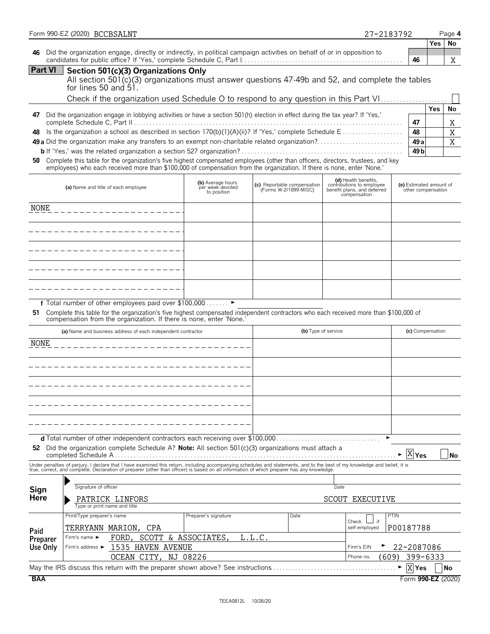| 46<br>All section 501(c)(3) organizations must answer questions 47-49b and 52, and complete the tables<br>Check if the organization used Schedule O to respond to any question in this Part VI<br>47<br>48<br>49 a<br>49 b<br>(e) Estimated amount of<br>other compensation | <b>Yes</b>                                                                                                                                                                                                                                              | Χ<br>No<br>Χ<br>X<br>Χ              |
|-----------------------------------------------------------------------------------------------------------------------------------------------------------------------------------------------------------------------------------------------------------------------------|---------------------------------------------------------------------------------------------------------------------------------------------------------------------------------------------------------------------------------------------------------|-------------------------------------|
|                                                                                                                                                                                                                                                                             |                                                                                                                                                                                                                                                         |                                     |
|                                                                                                                                                                                                                                                                             |                                                                                                                                                                                                                                                         |                                     |
|                                                                                                                                                                                                                                                                             |                                                                                                                                                                                                                                                         |                                     |
|                                                                                                                                                                                                                                                                             |                                                                                                                                                                                                                                                         |                                     |
|                                                                                                                                                                                                                                                                             |                                                                                                                                                                                                                                                         |                                     |
|                                                                                                                                                                                                                                                                             |                                                                                                                                                                                                                                                         |                                     |
|                                                                                                                                                                                                                                                                             |                                                                                                                                                                                                                                                         |                                     |
|                                                                                                                                                                                                                                                                             |                                                                                                                                                                                                                                                         |                                     |
|                                                                                                                                                                                                                                                                             |                                                                                                                                                                                                                                                         |                                     |
|                                                                                                                                                                                                                                                                             |                                                                                                                                                                                                                                                         |                                     |
|                                                                                                                                                                                                                                                                             |                                                                                                                                                                                                                                                         |                                     |
|                                                                                                                                                                                                                                                                             |                                                                                                                                                                                                                                                         |                                     |
|                                                                                                                                                                                                                                                                             |                                                                                                                                                                                                                                                         |                                     |
|                                                                                                                                                                                                                                                                             |                                                                                                                                                                                                                                                         |                                     |
|                                                                                                                                                                                                                                                                             |                                                                                                                                                                                                                                                         |                                     |
|                                                                                                                                                                                                                                                                             |                                                                                                                                                                                                                                                         |                                     |
|                                                                                                                                                                                                                                                                             |                                                                                                                                                                                                                                                         |                                     |
|                                                                                                                                                                                                                                                                             |                                                                                                                                                                                                                                                         |                                     |
|                                                                                                                                                                                                                                                                             |                                                                                                                                                                                                                                                         |                                     |
|                                                                                                                                                                                                                                                                             |                                                                                                                                                                                                                                                         |                                     |
| Complete this table for the organization's five highest compensated independent contractors who each received more than \$100,000 of                                                                                                                                        |                                                                                                                                                                                                                                                         |                                     |
| (c) Compensation                                                                                                                                                                                                                                                            |                                                                                                                                                                                                                                                         |                                     |
|                                                                                                                                                                                                                                                                             |                                                                                                                                                                                                                                                         |                                     |
|                                                                                                                                                                                                                                                                             |                                                                                                                                                                                                                                                         |                                     |
|                                                                                                                                                                                                                                                                             |                                                                                                                                                                                                                                                         |                                     |
|                                                                                                                                                                                                                                                                             |                                                                                                                                                                                                                                                         |                                     |
|                                                                                                                                                                                                                                                                             |                                                                                                                                                                                                                                                         |                                     |
|                                                                                                                                                                                                                                                                             |                                                                                                                                                                                                                                                         |                                     |
|                                                                                                                                                                                                                                                                             |                                                                                                                                                                                                                                                         |                                     |
|                                                                                                                                                                                                                                                                             |                                                                                                                                                                                                                                                         |                                     |
|                                                                                                                                                                                                                                                                             |                                                                                                                                                                                                                                                         |                                     |
|                                                                                                                                                                                                                                                                             |                                                                                                                                                                                                                                                         | No                                  |
|                                                                                                                                                                                                                                                                             |                                                                                                                                                                                                                                                         |                                     |
|                                                                                                                                                                                                                                                                             |                                                                                                                                                                                                                                                         |                                     |
|                                                                                                                                                                                                                                                                             |                                                                                                                                                                                                                                                         |                                     |
|                                                                                                                                                                                                                                                                             |                                                                                                                                                                                                                                                         |                                     |
|                                                                                                                                                                                                                                                                             |                                                                                                                                                                                                                                                         |                                     |
|                                                                                                                                                                                                                                                                             |                                                                                                                                                                                                                                                         |                                     |
|                                                                                                                                                                                                                                                                             |                                                                                                                                                                                                                                                         |                                     |
|                                                                                                                                                                                                                                                                             |                                                                                                                                                                                                                                                         |                                     |
|                                                                                                                                                                                                                                                                             |                                                                                                                                                                                                                                                         |                                     |
|                                                                                                                                                                                                                                                                             |                                                                                                                                                                                                                                                         |                                     |
| X Yes                                                                                                                                                                                                                                                                       |                                                                                                                                                                                                                                                         | No                                  |
|                                                                                                                                                                                                                                                                             | $\overline{X}$ Yes<br>Under penalties of perjury, I declare that I have examined this return, including accompanying schedules and statements, and to the best of my knowledge and belief, it is<br>true, correct, and complete. Declaration of prepare | P00187788<br>22-2087086<br>399-6333 |

BCCBSALNT 27-2183792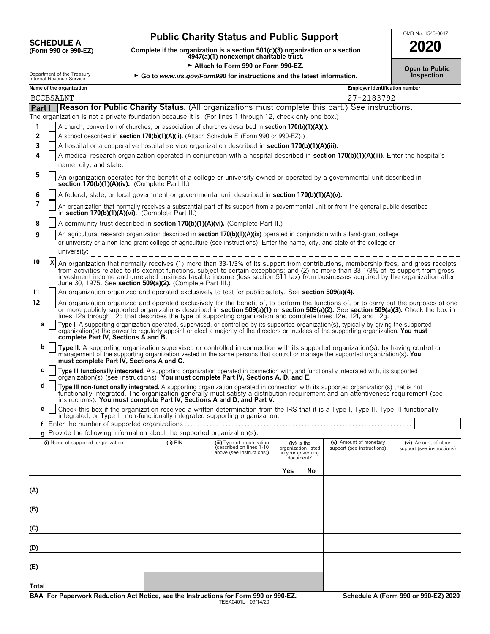# **CHEDULE A** Public Charity Status and Public Support<br>
(Form 990 or 990-EZ) Complete if the organization is a section 501(c)(3) organization or a section

**COMPOSCHEDULE A**<br>(Form 990 or 990-EZ) Complete if the organization is a section 501(c)(3) organization or a section<br>4947(a)(1) nonexempt charitable trust.

Attach to Form 990 or Form 990-EZ.

Department of the Treasury **FGO to** *www.irs.gov/Form990* **for instructions and the latest information.**<br>Internal Revenue Service

| 2020                                |  |
|-------------------------------------|--|
| <b>Open to Public</b><br>Inspection |  |

|  | Name of the organizatio |  |  |  |
|--|-------------------------|--|--|--|
|  |                         |  |  |  |

|              | Name of the organization<br><b>Employer identification number</b>                                         |                                                                                                                                                                                                                                                                                                                                                                                                                                   |              |                                                                                     |                                |                                    |                                                      |                                                    |  |
|--------------|-----------------------------------------------------------------------------------------------------------|-----------------------------------------------------------------------------------------------------------------------------------------------------------------------------------------------------------------------------------------------------------------------------------------------------------------------------------------------------------------------------------------------------------------------------------|--------------|-------------------------------------------------------------------------------------|--------------------------------|------------------------------------|------------------------------------------------------|----------------------------------------------------|--|
|              | <b>BCCBSALNT</b>                                                                                          |                                                                                                                                                                                                                                                                                                                                                                                                                                   |              |                                                                                     |                                |                                    | 27-2183792                                           |                                                    |  |
| Part I       | Reason for Public Charity Status. (All organizations must complete this part.) See instructions.          |                                                                                                                                                                                                                                                                                                                                                                                                                                   |              |                                                                                     |                                |                                    |                                                      |                                                    |  |
|              | The organization is not a private foundation because it is: (For lines 1 through 12, check only one box.) |                                                                                                                                                                                                                                                                                                                                                                                                                                   |              |                                                                                     |                                |                                    |                                                      |                                                    |  |
| 1            |                                                                                                           | A church, convention of churches, or association of churches described in section 170(b)(1)(A)(i).<br>A school described in section 170(b)(1)(A)(ii). (Attach Schedule E (Form 990 or 990-EZ).)                                                                                                                                                                                                                                   |              |                                                                                     |                                |                                    |                                                      |                                                    |  |
| 2            |                                                                                                           |                                                                                                                                                                                                                                                                                                                                                                                                                                   |              |                                                                                     |                                |                                    |                                                      |                                                    |  |
| 3            |                                                                                                           | A hospital or a cooperative hospital service organization described in section 170(b)(1)(A)(iii).                                                                                                                                                                                                                                                                                                                                 |              |                                                                                     |                                |                                    |                                                      |                                                    |  |
| 4            |                                                                                                           | A medical research organization operated in conjunction with a hospital described in section 170(b)(1)(A)(iii). Enter the hospital's<br>name, city, and state:                                                                                                                                                                                                                                                                    |              |                                                                                     |                                |                                    |                                                      |                                                    |  |
| 5            |                                                                                                           | An organization operated for the benefit of a college or university owned or operated by a governmental unit described in<br>section 170(b)(1)(A)(iv). (Complete Part II.)                                                                                                                                                                                                                                                        |              |                                                                                     |                                |                                    |                                                      |                                                    |  |
| 6            |                                                                                                           | A federal, state, or local government or governmental unit described in section 170(b)(1)(A)(v).                                                                                                                                                                                                                                                                                                                                  |              |                                                                                     |                                |                                    |                                                      |                                                    |  |
| 7            |                                                                                                           | An organization that normally receives a substantial part of its support from a governmental unit or from the general public described<br>in section 170(b)(1)(A)(vi). (Complete Part II.)                                                                                                                                                                                                                                        |              |                                                                                     |                                |                                    |                                                      |                                                    |  |
| 8            |                                                                                                           | A community trust described in section 170(b)(1)(A)(vi). (Complete Part II.)                                                                                                                                                                                                                                                                                                                                                      |              |                                                                                     |                                |                                    |                                                      |                                                    |  |
| 9            |                                                                                                           | An agricultural research organization described in section 170(b)(1)(A)(ix) operated in conjunction with a land-grant college<br>or university or a non-land-grant college of agriculture (see instructions). Enter the name, city, and state of the college or<br>university:                                                                                                                                                    |              | ___________________________                                                         |                                |                                    |                                                      |                                                    |  |
| 10           | IX.                                                                                                       | An organization that normally receives (1) more than 33-1/3% of its support from contributions, membership fees, and gross receipts from activities related to its exempt functions, subject to certain exceptions; and (2) no<br>investment income and unrelated business taxable income (less section 511 tax) from businesses acquired by the organization after<br>June 30, 1975. See section 509(a)(2). (Complete Part III.) |              |                                                                                     |                                |                                    |                                                      |                                                    |  |
| 11           |                                                                                                           | An organization organized and operated exclusively to test for public safety. See section 509(a)(4).                                                                                                                                                                                                                                                                                                                              |              |                                                                                     |                                |                                    |                                                      |                                                    |  |
| 12           |                                                                                                           | An organization organized and operated exclusively for the benefit of, to perform the functions of, or to carry out the purposes of one<br>or more publicly supported organizations described in section 509(a)(1) or section 509(a)(2). See section 509(a)(3). Check the box in<br>lines 12a through 12d that describes the type of supporting organization and complete lines 12e, 12f, and 12g.                                |              |                                                                                     |                                |                                    |                                                      |                                                    |  |
| а            |                                                                                                           | Type I. A supporting organization operated, supervised, or controlled by its supported organization(s), typically by giving the supported<br>organization(s) the power to regularly appoint or elect a majority of the directors or trustees of the supporting organization. You must<br>complete Part IV, Sections A and B.                                                                                                      |              |                                                                                     |                                |                                    |                                                      |                                                    |  |
| b            |                                                                                                           | Type II. A supporting organization supervised or controlled in connection with its supported organization(s), by having control or<br>management of the supporting organization vested in the same persons that control or manage the supported organization(s). You<br>must complete Part IV, Sections A and C.                                                                                                                  |              |                                                                                     |                                |                                    |                                                      |                                                    |  |
| С            |                                                                                                           | Type III functionally integrated. A supporting organization operated in connection with, and functionally integrated with, its supported<br>organization(s) (see instructions). You must complete Part IV, Sections A, D, and E.                                                                                                                                                                                                  |              |                                                                                     |                                |                                    |                                                      |                                                    |  |
| d            |                                                                                                           | Type III non-functionally integrated. A supporting organization operated in connection with its supported organization(s) that is not functionally integrated. The organization generally must satisfy a distribution requirem<br>instructions). You must complete Part IV, Sections A and D, and Part V.                                                                                                                         |              |                                                                                     |                                |                                    |                                                      |                                                    |  |
| е            |                                                                                                           | Check this box if the organization received a written determination from the IRS that it is a Type I, Type II, Type III functionally<br>integrated, or Type III non-functionally integrated supporting organization.                                                                                                                                                                                                              |              |                                                                                     |                                |                                    |                                                      |                                                    |  |
|              |                                                                                                           |                                                                                                                                                                                                                                                                                                                                                                                                                                   |              |                                                                                     |                                |                                    |                                                      |                                                    |  |
|              |                                                                                                           | Provide the following information about the supported organization(s).                                                                                                                                                                                                                                                                                                                                                            |              |                                                                                     |                                |                                    |                                                      |                                                    |  |
|              |                                                                                                           | (i) Name of supported organization                                                                                                                                                                                                                                                                                                                                                                                                | $(ii)$ $EIN$ | (iii) Type of organization<br>(described on lines 1-10<br>above (see instructions)) | in your governing<br>document? | (iv) Is the<br>organization listed | (v) Amount of monetary<br>support (see instructions) | (vi) Amount of other<br>support (see instructions) |  |
|              |                                                                                                           |                                                                                                                                                                                                                                                                                                                                                                                                                                   |              |                                                                                     | Yes                            | No                                 |                                                      |                                                    |  |
|              |                                                                                                           |                                                                                                                                                                                                                                                                                                                                                                                                                                   |              |                                                                                     |                                |                                    |                                                      |                                                    |  |
| (A)          |                                                                                                           |                                                                                                                                                                                                                                                                                                                                                                                                                                   |              |                                                                                     |                                |                                    |                                                      |                                                    |  |
| (B)          |                                                                                                           |                                                                                                                                                                                                                                                                                                                                                                                                                                   |              |                                                                                     |                                |                                    |                                                      |                                                    |  |
| (C)          |                                                                                                           |                                                                                                                                                                                                                                                                                                                                                                                                                                   |              |                                                                                     |                                |                                    |                                                      |                                                    |  |
| (D)          |                                                                                                           |                                                                                                                                                                                                                                                                                                                                                                                                                                   |              |                                                                                     |                                |                                    |                                                      |                                                    |  |
| (E)          |                                                                                                           |                                                                                                                                                                                                                                                                                                                                                                                                                                   |              |                                                                                     |                                |                                    |                                                      |                                                    |  |
| <b>Total</b> |                                                                                                           |                                                                                                                                                                                                                                                                                                                                                                                                                                   |              |                                                                                     |                                |                                    |                                                      |                                                    |  |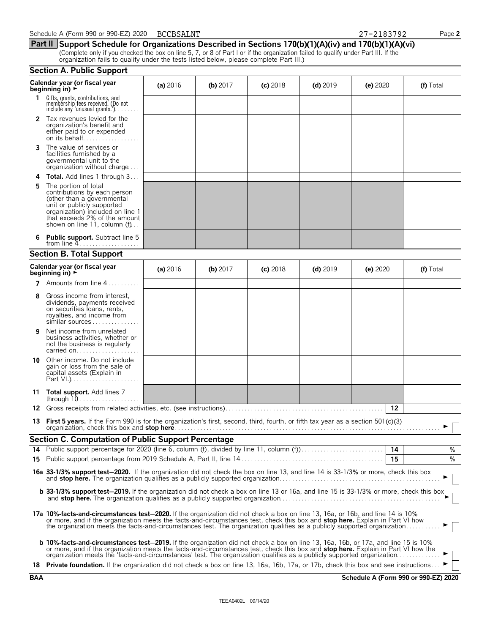|            | organization rails to quality under the tests ilsted below, please complete Part III.)<br><b>Section A. Public Support</b>                                                                                                                                                                                                                                                                                     |          |            |            |            |                                      |           |
|------------|----------------------------------------------------------------------------------------------------------------------------------------------------------------------------------------------------------------------------------------------------------------------------------------------------------------------------------------------------------------------------------------------------------------|----------|------------|------------|------------|--------------------------------------|-----------|
|            |                                                                                                                                                                                                                                                                                                                                                                                                                |          |            |            |            |                                      |           |
|            | Calendar year (or fiscal year<br>beginning in) $\rightarrow$                                                                                                                                                                                                                                                                                                                                                   | (a) 2016 | (b) $2017$ | $(c)$ 2018 | $(d)$ 2019 | (e) 2020                             | (f) Total |
| 1.         | Gifts, grants, contributions, and<br>membership fees received. (Do not<br>include any 'unusual grants.'). $\dots$ .                                                                                                                                                                                                                                                                                            |          |            |            |            |                                      |           |
|            | 2 Tax revenues levied for the<br>organization's benefit and<br>either paid to or expended<br>on its behalf                                                                                                                                                                                                                                                                                                     |          |            |            |            |                                      |           |
| 3          | The value of services or<br>facilities furnished by a<br>governmental unit to the<br>organization without charge                                                                                                                                                                                                                                                                                               |          |            |            |            |                                      |           |
|            | 4 Total. Add lines 1 through 3                                                                                                                                                                                                                                                                                                                                                                                 |          |            |            |            |                                      |           |
| 5.         | The portion of total<br>contributions by each person<br>(other than a governmental<br>unit or publicly supported<br>organization) included on line 1<br>that exceeds 2% of the amount<br>shown on line 11, column (f)                                                                                                                                                                                          |          |            |            |            |                                      |           |
| 6          | <b>Public support.</b> Subtract line 5                                                                                                                                                                                                                                                                                                                                                                         |          |            |            |            |                                      |           |
|            | <b>Section B. Total Support</b>                                                                                                                                                                                                                                                                                                                                                                                |          |            |            |            |                                      |           |
|            | Calendar year (or fiscal year<br>beginning in) $\rightarrow$                                                                                                                                                                                                                                                                                                                                                   | (a) 2016 | (b) 2017   | $(c)$ 2018 | $(d)$ 2019 | (e) 2020                             | (f) Total |
|            | 7 Amounts from line 4                                                                                                                                                                                                                                                                                                                                                                                          |          |            |            |            |                                      |           |
| 8          | Gross income from interest.<br>dividends, payments received<br>on securities loans, rents,<br>royalties, and income from<br>similar sources                                                                                                                                                                                                                                                                    |          |            |            |            |                                      |           |
| 9          | Net income from unrelated<br>business activities, whether or<br>not the business is regularly<br>carried on                                                                                                                                                                                                                                                                                                    |          |            |            |            |                                      |           |
| 10         | Other income. Do not include<br>gain or loss from the sale of<br>capital assets (Explain in                                                                                                                                                                                                                                                                                                                    |          |            |            |            |                                      |           |
|            | 11 Total support. Add lines 7<br>through $10, \ldots, \ldots, \ldots, \ldots$                                                                                                                                                                                                                                                                                                                                  |          |            |            |            |                                      |           |
|            |                                                                                                                                                                                                                                                                                                                                                                                                                |          |            |            |            | 12                                   |           |
|            | 13 First 5 years. If the Form 990 is for the organization's first, second, third, fourth, or fifth tax year as a section 501(c)(3)                                                                                                                                                                                                                                                                             |          |            |            |            |                                      |           |
|            | <b>Section C. Computation of Public Support Percentage</b>                                                                                                                                                                                                                                                                                                                                                     |          |            |            |            |                                      |           |
|            |                                                                                                                                                                                                                                                                                                                                                                                                                |          |            |            |            | 14                                   | %         |
|            |                                                                                                                                                                                                                                                                                                                                                                                                                |          |            |            |            | 15                                   | $\%$      |
|            | 16a 33-1/3% support test-2020. If the organization did not check the box on line 13, and line 14 is 33-1/3% or more, check this box                                                                                                                                                                                                                                                                            |          |            |            |            |                                      |           |
|            | <b>b 33-1/3% support test-2019.</b> If the organization did not check a box on line 13 or 16a, and line 15 is 33-1/3% or more, check this box                                                                                                                                                                                                                                                                  |          |            |            |            |                                      |           |
|            | 17a 10%-facts-and-circumstances test-2020. If the organization did not check a box on line 13, 16a, or 16b, and line 14 is 10%<br>or more, and if the organization meets the facts-and-circumstances test, check this box and stop here. Explain in Part VI how<br>the organization meets the facts-and-circumstances test. The organization qualifies as a publicly supported organization                    |          |            |            |            |                                      |           |
|            | <b>b 10%-facts-and-circumstances test-2019.</b> If the organization did not check a box on line 13, 16a, 16b, or 17a, and line 15 is 10%<br>or more, and if the organization meets the facts-and-circumstances test, check this box and <b>stop here.</b> Explain in Part VI how the<br>organization meets the 'facts-and-circumstances' test. The organization qualifies as a publicly supported organization |          |            |            |            |                                      |           |
|            | 18 Private foundation. If the organization did not check a box on line 13, 16a, 16b, 17a, or 17b, check this box and see instructions                                                                                                                                                                                                                                                                          |          |            |            |            |                                      |           |
| <b>BAA</b> |                                                                                                                                                                                                                                                                                                                                                                                                                |          |            |            |            | Schedule A (Form 990 or 990-EZ) 2020 |           |

BCCBSALNT 27-2183792

**Part II Support Schedule for Organizations Described in Sections 170(b)(1)(A)(iv) and 170(b)(1)(A)(vi)**

(Complete only if you checked the box on line 5, 7, or 8 of Part I or if the organization failed to qualify under Part III. If the organization fails to qualify under the tests listed below, please complete Part III.)

Schedule A (Form 990 or 990-EZ) 2020 BCCBSALNT **27-2183792** Page 2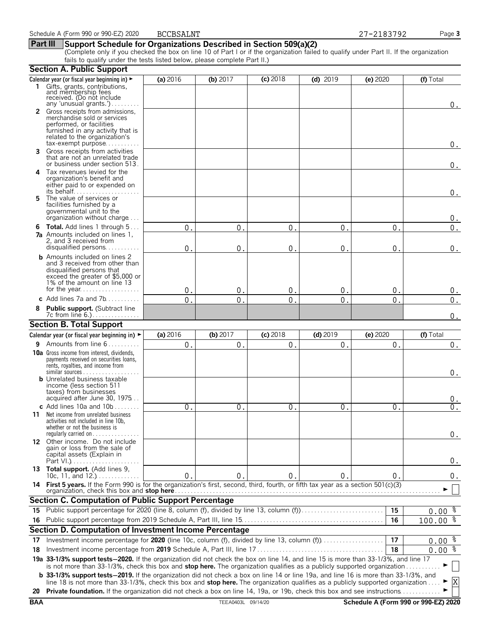#### **Part III Support Schedule for Organizations Described in Section 509(a)(2)**

(Complete only if you checked the box on line 10 of Part I or if the organization failed to qualify under Part II. If the organization fails to qualify under the tests listed below, please complete Part II.)

|            | <b>Section A. Public Support</b>                                                                                                                                                                                                                                                     |              |                    |              |              |               |                                      |
|------------|--------------------------------------------------------------------------------------------------------------------------------------------------------------------------------------------------------------------------------------------------------------------------------------|--------------|--------------------|--------------|--------------|---------------|--------------------------------------|
|            | Calendar year (or fiscal year beginning in) ►                                                                                                                                                                                                                                        | (a) 2016     | (b) $2017$         | $(c)$ 2018   | $(d)$ 2019   | (e) 2020      | (f) Total                            |
|            | 1 Gifts, grants, contributions.<br>and membership fees<br>received. (Do not include<br>any 'unusual grants.')                                                                                                                                                                        |              |                    |              |              |               |                                      |
|            | 2 Gross receipts from admissions,<br>merchandise sold or services<br>performed, or facilities                                                                                                                                                                                        |              |                    |              |              |               | 0.                                   |
|            | furnished in any activity that is<br>related to the organization's<br>tax-exempt purpose                                                                                                                                                                                             |              |                    |              |              |               | $0$ .                                |
| 3.         | Gross receipts from activities<br>that are not an unrelated trade<br>or business under section 513.                                                                                                                                                                                  |              |                    |              |              |               | $0_{.}$                              |
| 4          | Tax revenues levied for the<br>organization's benefit and<br>either paid to or expended on<br>its behalf                                                                                                                                                                             |              |                    |              |              |               |                                      |
| 5.         | The value of services or<br>facilities furnished by a<br>governmental unit to the<br>organization without charge                                                                                                                                                                     |              |                    |              |              |               | 0.<br>$0$ .                          |
|            | <b>6 Total.</b> Add lines 1 through 5                                                                                                                                                                                                                                                | 0            | 0                  | 0            | 0            | 0             | $0$ .                                |
|            | <b>7a</b> Amounts included on lines 1.<br>2, and 3 received from<br>disqualified persons                                                                                                                                                                                             | 0            | 0                  | 0            | $\mathbf 0$  | 0             | 0.                                   |
|            | <b>b</b> Amounts included on lines 2<br>and 3 received from other than<br>disqualified persons that<br>exceed the greater of \$5,000 or<br>1% of the amount on line 13                                                                                                               |              |                    |              |              |               |                                      |
|            |                                                                                                                                                                                                                                                                                      | 0.           | 0                  | $\mathbf{0}$ | 0            | $\mathbf{0}$  | $0$ .                                |
| 8          | c Add lines 7a and 7b                                                                                                                                                                                                                                                                | $0$ .        | $\mathbf 0$        | $\mathbf{0}$ | $\Omega$     | $\Omega$      | 0.                                   |
|            | Public support. (Subtract line<br>7c from line 6.).                                                                                                                                                                                                                                  |              |                    |              |              |               | 0.                                   |
|            | <b>Section B. Total Support</b>                                                                                                                                                                                                                                                      |              |                    |              |              |               |                                      |
|            | Calendar year (or fiscal year beginning in) ►                                                                                                                                                                                                                                        | (a) 2016     | $(b)$ 2017         | $(c)$ 2018   | $(d)$ 2019   | (e) 2020      | (f) Total                            |
|            | 9 Amounts from line 6                                                                                                                                                                                                                                                                | 0.           | $\mathbf 0$ .      | $0$ .        | 0.           | $\mathbf 0$ . | 0.                                   |
|            | <b>10a</b> Gross income from interest, dividends,<br>payments received on securities loans,<br>rents, royalties, and income from                                                                                                                                                     |              |                    |              |              |               | 0.                                   |
|            | <b>b</b> Unrelated business taxable<br>income (less section 511<br>taxes) from businesses<br>acquired after June 30, 1975                                                                                                                                                            |              |                    |              |              |               | 0.                                   |
|            | c Add lines 10a and $10b$                                                                                                                                                                                                                                                            | 0.           | $\mathbf 0$ .      | $\mathbf 0$  | $\mathbf 0$  | $\mathbf 0$   | 0.                                   |
|            | 11 Net income from unrelated business<br>activities not included in line 10b,<br>whether or not the business is<br>regularly carried on $\dots\dots\dots\dots\dots$                                                                                                                  |              |                    |              |              |               | 0.                                   |
|            | 12 Other income. Do not include<br>gain or loss from the sale of<br>capital assets (Explain in                                                                                                                                                                                       |              |                    |              |              |               | 0.                                   |
|            | 13 Total support. (Add lines 9,                                                                                                                                                                                                                                                      |              |                    |              |              |               |                                      |
|            | 10c, 11, and $12.$ )<br>14 First 5 years. If the Form 990 is for the organization's first, second, third, fourth, or fifth tax year as a section 501(c)(3)                                                                                                                           | $\mathbf{0}$ | $\mathbf 0$ .      | $\mathbf{0}$ | $\mathbf{0}$ | 0.            | 0.                                   |
|            | Section C. Computation of Public Support Percentage                                                                                                                                                                                                                                  |              |                    |              |              |               |                                      |
|            | 15 Public support percentage for 2020 (line 8, column (f), divided by line 13, column (f)                                                                                                                                                                                            |              |                    |              |              | 15            | $0.00$ $\frac{8}{3}$                 |
|            |                                                                                                                                                                                                                                                                                      |              |                    |              |              | 16            | 100.00 %                             |
|            | Section D. Computation of Investment Income Percentage                                                                                                                                                                                                                               |              |                    |              |              |               |                                      |
| 17         | Investment income percentage for 2020 (line 10c, column (f), divided by line 13, column (f))                                                                                                                                                                                         |              |                    |              |              | 17            | $0.00$ $\frac{8}{3}$                 |
| 18         |                                                                                                                                                                                                                                                                                      |              |                    |              |              | 18            | $0.00 \frac{8}{3}$                   |
|            | 19a 33-1/3% support tests-2020. If the organization did not check the box on line 14, and line 15 is more than 33-1/3%, and line 17<br>is not more than 33-1/3%, check this box and stop here. The organization qualifies as a publicly supported organization                       |              |                    |              |              |               |                                      |
|            | <b>b 33-1/3% support tests-2019.</b> If the organization did not check a box on line 14 or line 19a, and line 16 is more than 33-1/3%, and<br>line 18 is not more than 33-1/3%, check this box and <b>stop here.</b> The organization qualifies as a publicly supported organization |              |                    |              |              |               | X                                    |
|            | 20 Private foundation. If the organization did not check a box on line 14, 19a, or 19b, check this box and see instructions                                                                                                                                                          |              |                    |              |              |               |                                      |
| <b>BAA</b> |                                                                                                                                                                                                                                                                                      |              | TEEA0403L 09/14/20 |              |              |               | Schedule A (Form 990 or 990-EZ) 2020 |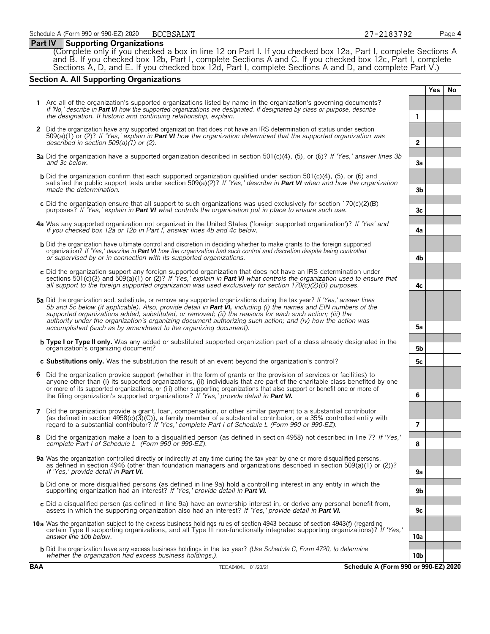#### **Part IV Supporting Organizations**

(Complete only if you checked a box in line 12 on Part I. If you checked box 12a, Part I, complete Sections A and B. If you checked box 12b, Part I, complete Sections A and C. If you checked box 12c, Part I, complete Sections A, D, and E. If you checked box 12d, Part I, complete Sections A and D, and complete Part V.)

### **Section A. All Supporting Organizations**

**Yes No 1** Are all of the organization's supported organizations listed by name in the organization's governing documents? *If 'No,' describe in Part VI how the supported organizations are designated. If designated by class or purpose, describe the designation. If historic and continuing relationship, explain.* **1 2** Did the organization have any supported organization that does not have an IRS determination of status under section 509(a)(1) or (2)? *If 'Yes,' explain in Part VI how the organization determined that the supported organization was described in section 509(a)(1) or (2)*. **2 3a** Did the organization have a supported organization described in section 501(c)(4), (5), or (6)? *If 'Yes,' answer lines 3b and 3c below.* **3a b** Did the organization confirm that each supported organization qualified under section 501(c)(4), (5), or (6) and satisfied the public support tests under section 509(a)(2)? *If 'Yes,' describe in Part VI when and how the organization made the determination*. **3b c** Did the organization ensure that all support to such organizations was used exclusively for section 170(c)(2)(B) purposes? *If 'Yes,' explain in Part VI what controls the organization put in place to ensure such use.* **3c 4a** Was any supported organization not organized in the United States ('foreign supported organization')? *If 'Yes' and if you checked box 12a or 12b in Part I, answer lines 4b and 4c below.* **4a b** Did the organization have ultimate control and discretion in deciding whether to make grants to the foreign supported organization? *If 'Yes,' describe in Part VI how the organization had such control and discretion despite being controlled or supervised by or in connection with its supported organizations*. **4b c** Did the organization support any foreign supported organization that does not have an IRS determination under sections 501(c)(3) and 509(a)(1) or (2)? *If 'Yes,' explain in Part VI what controls the organization used to ensure that all support to the foreign supported organization was used exclusively for section 170(c)(2)(B) purposes.* **4c 5a** Did the organization add, substitute, or remove any supported organizations during the tax year? *If 'Yes,' answer lines 5b and 5c below (if applicable). Also, provide detail in Part VI, including (i) the names and EIN numbers of the supported organizations added, substituted, or removed; (ii) the reasons for each such action; (iii) the authority under the organization's organizing document authorizing such action; and (iv) how the action was accomplished (such as by amendment to the organizing document)*. **5a b Type I or Type II only.** Was any added or substituted supported organization part of a class already designated in the organization's organizing document? **5b c Substitutions only.** Was the substitution the result of an event beyond the organization's control? **5c 6** Did the organization provide support (whether in the form of grants or the provision of services or facilities) to anyone other than (i) its supported organizations, (ii) individuals that are part of the charitable class benefited by one or more of its supported organizations, or (iii) other supporting organizations that also support or benefit one or more of the filing organization's supported organizations? *If 'Yes,' provide detail in Part VI.* **6 7** Did the organization provide a grant, loan, compensation, or other similar payment to a substantial contributor (as defined in section 4958(c)(3)(C)), a family member of a substantial contributor, or a 35% controlled entity with regard to a substantial contributor? *If 'Yes,' complete Part I of Schedule L (Form 990 or 990-EZ)*. **7 8** Did the organization make a loan to a disqualified person (as defined in section 4958) not described in line 7? *If 'Yes,' complete Part I of Schedule L (Form 990 or 990-EZ).* **8 9a** Was the organization controlled directly or indirectly at any time during the tax year by one or more disqualified persons, as defined in section 4946 (other than foundation managers and organizations described in section 509(a)(1) or (2))? *If 'Yes,' provide detail in Part VI.* **9a** b Did one or more disqualified persons (as defined in line 9a) hold a controlling interest in any entity in which the<br>supporting organization had an interest? If 'Yes,' provide detail in Part VI. **c** Did a disqualified person (as defined in line 9a) have an ownership interest in, or derive any personal benefit from, assets in which the supporting organization also had an interest? *If 'Yes,' provide detail in Part VI.* **9c 10a** Was the organization subject to the excess business holdings rules of section 4943 because of section 4943(f) (regarding certain Type II supporting organizations, and all Type III non-functionally integrated supporting organizations)? *If 'Yes,' answer line 10b below.* **10a b** Did the organization have any excess business holdings in the tax year? *(Use Schedule C, Form 4720, to determine* whether the organization had excess business holdings.). **10b 10b 10b 10b 10b 10b 10b 10b 10b 10b 10b 10b 10b 10b 10b 10b 10b 10b 10b 10b 10b 10b 10b 10b 10b 10b 10b 10** 

BCCBSALNT 27-2183792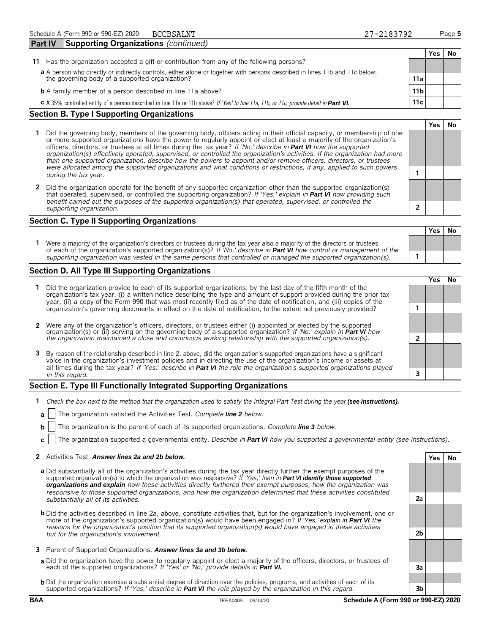|                                                                                                                                                                                |     | Yes | No |  |  |
|--------------------------------------------------------------------------------------------------------------------------------------------------------------------------------|-----|-----|----|--|--|
| Has the organization accepted a gift or contribution from any of the following persons?<br>11                                                                                  |     |     |    |  |  |
| a A person who directly or indirectly controls, either alone or together with persons described in lines 11b and 11c below,<br>the governing body of a supported organization? | 11a |     |    |  |  |
| <b>b</b> A family member of a person described in line 11a above?                                                                                                              | 11b |     |    |  |  |
| C A 35% controlled entity of a person described in line 11a or 11b above? If 'Yes' to line 11a, 11b, or 11c, provide detail in Part VI.                                        | 11c |     |    |  |  |
| <b>Section B. Type I Supporting Organizations</b>                                                                                                                              |     |     |    |  |  |

- **1** Did the governing body, members of the governing body, officers acting in their official capacity, or membership of one or more supported organizations have the power to regularly appoint or elect at least a majority of the organization's officers, directors, or trustees at all times during the tax year? *If 'No,' describe in Part VI how the supported organization(s) effectively operated, supervised, or controlled the organization's activities. If the organization had more than one supported organization, describe how the powers to appoint and/or remove officers, directors, or trustees were allocated among the supported organizations and what conditions or restrictions, if any, applied to such powers* **1** *during the tax* year.
- **2** Did the organization operate for the benefit of any supported organization other than the supported organization(s) that operated, supervised, or controlled the supporting organization? *If 'Yes,' explain in Part VI how providing such benefit carried out the purposes of the supported organization(s) that operated, supervised, or controlled the supporting organization.* **2**

### **Section C. Type II Supporting Organizations**

**Yes No 1** Were a majority of the organization's directors or trustees during the tax year also a majority of the directors or trustees of each of the organization's supported organization(s)? *If 'No,' describe in Part VI how control or management of the supporting organization was vested in the same persons that controlled or managed the supported organization(s).* **1**

#### **Section D. All Type III Supporting Organizations**

|                                                                                                                                                                                                                                                                                                                                                                                |  | ′e< |  |  |
|--------------------------------------------------------------------------------------------------------------------------------------------------------------------------------------------------------------------------------------------------------------------------------------------------------------------------------------------------------------------------------|--|-----|--|--|
| 1 Did the organization provide to each of its supported organizations, by the last day of the fifth month of the<br>organization's tax year, (i) a written notice describing the type and amount of support provided during the prior tax<br>year, (ii) a copy of the Form 990 that was most recently filed as of the date of notification, and (iii) copies of the            |  |     |  |  |
| organization's governing documents in effect on the date of notification, to the extent not previously provided?                                                                                                                                                                                                                                                               |  |     |  |  |
| 2 Were any of the organization's officers, directors, or trustees either (i) appointed or elected by the supported                                                                                                                                                                                                                                                             |  |     |  |  |
| organization(s) or (ii) serving on the governing body of a supported organization? If No, explain in <b>Part VI</b> how<br>the organization maintained a close and continuous working relationship with the supported organization(s).                                                                                                                                         |  |     |  |  |
| 3 By reason of the relationship described in line 2, above, did the organization's supported organizations have a significant<br>voice in the organization's investment policies and in directing the use of the organization's income or assets at<br>all times during the tax year? If 'Yes,' describe in Part VI the role the organization's supported organizations played |  |     |  |  |
| in this regard.                                                                                                                                                                                                                                                                                                                                                                |  |     |  |  |

#### **Section E. Type III Functionally Integrated Supporting Organizations**

- **1** Check the box next to the method that the organization used to satisfy the Integral Part Test during the year (see instructions).
- **a** The organization satisfied the Activities Test. *Complete line 2 below.*
- **b** The organization is the parent of each of its supported organizations. *Complete line* 3 *below.*
- **c** The organization supported a governmental entity. *Describe in Part VI how you supported a governmental entity (see instructions).*

#### **2** Activities Test. *Answer lines 2a and 2b below.* **Yes No**

- **a** Did substantially all of the organization's activities during the tax year directly further the exempt purposes of the supported organization(s) to which the organization was responsive? *If 'Yes,' then in Part VI identify those supported organizations and explain how these activities directly furthered their exempt purposes, how the organization was responsive to those supported organizations, and how the organization determined that these activities constituted substantially all of its activities.* **2a**
- **b** Did the activities described in line 2a, above, constitute activities that, but for the organization's involvement, one or more of the organization's supported organization(s) would have been engaged in? *If 'Yes,' explain in Part VI the reasons for the organization's position that its supported organization(s) would have engaged in these activities but for the organization's involvement.* **2b**
- **3** Parent of Supported Organizations. *Answer lines 3a and 3b below.*
- **a** Did the organization have the power to regularly appoint or elect a majority of the officers, directors, or trustees of each of the supported organizations? *If 'Yes' or 'No,' provide details in Part VI.* **3a**
- **b** Did the organization exercise a substantial degree of direction over the policies, programs, and activities of each of its supported organizations? *If 'Yes,' describe in Part VI the role played by the organization in this regard.* **3b**

**Yes No**

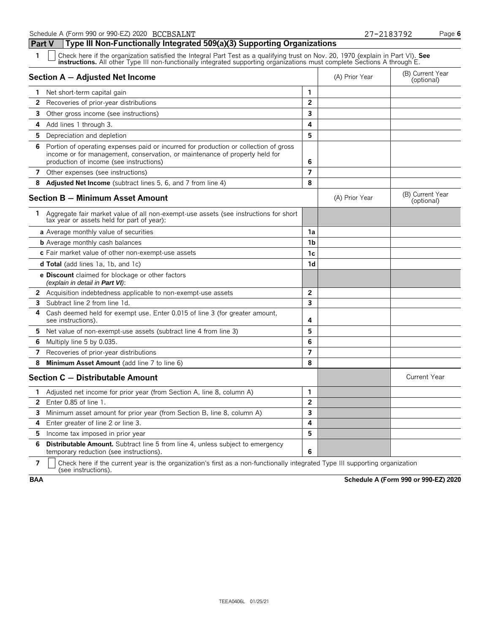**Part V Type III Non-Functionally Integrated 509(a)(3) Supporting Organizations**

# Check here if the organization satisfied the Integral Part Test as a qualifying trust on Nov. 20, 1970 (explain in Part VI). See instructions. All other Type III non-functionally integrated supporting organizations must co **Section A – Adjusted Net Income** (A) Prior Year (B) Current Year (B) Current Year (B) Current Year (Optional) **1** Net short-term capital gain **2** Recoveries of prior-year distributions **2 3** Other gross income (see instructions) **3 4** Add lines 1 through 3. **4 5** Depreciation and depletion **5 6** Portion of operating expenses paid or incurred for production or collection of gross income or for management, conservation, or maintenance of property held for production of income (see instructions) **6 7** Other expenses (see instructions) **7 8 Adjusted Net Income** (subtract lines 5, 6, and 7 from line 4) **8 Section B – Minimum Asset Amount Section B – Minimum Asset Amount** (B) Current Year (B) Current Year (B) Current Year **1** Aggregate fair market value of all non-exempt-use assets (see instructions for short tax year or assets held for part of year): **a** Average monthly value of securities **1a b** Average monthly cash balances **1b** Average monthly cash balances **c** Fair market value of other non-exempt-use assets **1c d Total** (add lines 1a, 1b, and 1c) **1d e Discount** claimed for blockage or other factors *(explain in detail in Part VI)*: **2** Acquisition indebtedness applicable to non-exempt-use assets **2 3** Subtract line 2 from line 1d. **3 4** Cash deemed held for exempt use. Enter 0.015 of line 3 (for greater amount, see instructions). **4 5** Net value of non-exempt-use assets (subtract line 4 from line 3) **5 6** Multiply line 5 by 0.035. **6 7** Recoveries of prior-year distributions **7 8 Minimum Asset Amount** (add line 7 to line 6) **8 Section C – Distributable Amount** Current Year **Current Year Amount** Current Year Amount **1** Adjusted net income for prior year (from Section A, line 8, column A) **1 2** Enter 0.85 of line 1. **2 3** Minimum asset amount for prior year (from Section B, line 8, column A) **3 4** Enter greater of line 2 or line 3. **4 5** Income tax imposed in prior year **5 6 Distributable Amount.** Subtract line 5 from line 4, unless subject to emergency

temporary reduction (see instructions). **6 7** Check here if the current year is the organization's first as a non-functionally integrated Type III supporting organization (see instructions).

**BAA Schedule A (Form 990 or 990-EZ) 2020**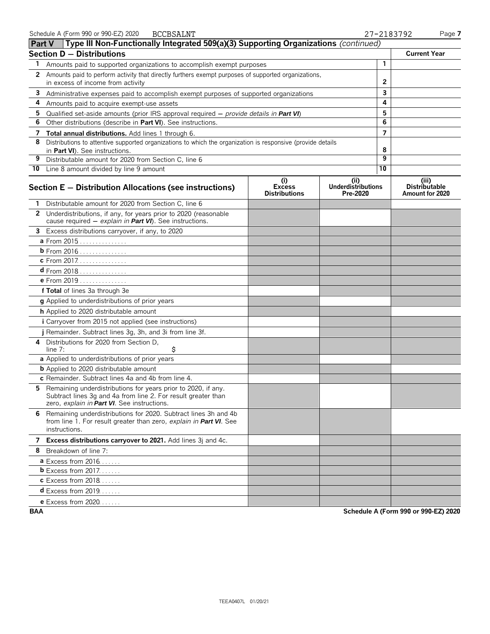|              | <b>Part V</b> Type III Non-Functionally Integrated 509(a)(3) Supporting Organizations (continued)                                                                               |                                              |                                               |                |                                                  |
|--------------|---------------------------------------------------------------------------------------------------------------------------------------------------------------------------------|----------------------------------------------|-----------------------------------------------|----------------|--------------------------------------------------|
|              | <b>Section D - Distributions</b>                                                                                                                                                |                                              |                                               |                | <b>Current Year</b>                              |
| 1            | Amounts paid to supported organizations to accomplish exempt purposes                                                                                                           |                                              |                                               | $\mathbf{1}$   |                                                  |
| $\mathbf{2}$ | Amounts paid to perform activity that directly furthers exempt purposes of supported organizations,<br>in excess of income from activity                                        |                                              |                                               | $\mathbf{2}$   |                                                  |
| 3            |                                                                                                                                                                                 |                                              |                                               | 3              |                                                  |
| 4            | Administrative expenses paid to accomplish exempt purposes of supported organizations<br>Amounts paid to acquire exempt-use assets                                              |                                              |                                               | 4              |                                                  |
| 5            | Qualified set-aside amounts (prior IRS approval required $-$ provide details in Part VI)                                                                                        |                                              |                                               | 5              |                                                  |
| 6            | Other distributions (describe in Part VI). See instructions.                                                                                                                    |                                              |                                               | 6              |                                                  |
| 7            | Total annual distributions. Add lines 1 through 6.                                                                                                                              |                                              |                                               | $\overline{7}$ |                                                  |
| 8            | Distributions to attentive supported organizations to which the organization is responsive (provide details                                                                     |                                              |                                               |                |                                                  |
|              | in Part VI). See instructions.                                                                                                                                                  |                                              |                                               | 8              |                                                  |
| 9            | Distributable amount for 2020 from Section C, line 6                                                                                                                            |                                              |                                               | 9              |                                                  |
|              | 10 Line 8 amount divided by line 9 amount                                                                                                                                       |                                              |                                               | 10             |                                                  |
|              | Section E - Distribution Allocations (see instructions)                                                                                                                         | (i)<br><b>Excess</b><br><b>Distributions</b> | (ii)<br><b>Underdistributions</b><br>Pre-2020 |                | (iii)<br><b>Distributable</b><br>Amount for 2020 |
|              | 1 Distributable amount for 2020 from Section C, line 6                                                                                                                          |                                              |                                               |                |                                                  |
|              | 2 Underdistributions, if any, for years prior to 2020 (reasonable<br>cause required - explain in Part VI). See instructions.                                                    |                                              |                                               |                |                                                  |
| 3            | Excess distributions carryover, if any, to 2020                                                                                                                                 |                                              |                                               |                |                                                  |
|              | a From 2015                                                                                                                                                                     |                                              |                                               |                |                                                  |
|              | b From 2016                                                                                                                                                                     |                                              |                                               |                |                                                  |
|              | c From 2017.                                                                                                                                                                    |                                              |                                               |                |                                                  |
|              | $d$ From 2018                                                                                                                                                                   |                                              |                                               |                |                                                  |
|              | e From 2019                                                                                                                                                                     |                                              |                                               |                |                                                  |
|              | f Total of lines 3a through 3e                                                                                                                                                  |                                              |                                               |                |                                                  |
|              | g Applied to underdistributions of prior years                                                                                                                                  |                                              |                                               |                |                                                  |
|              | h Applied to 2020 distributable amount                                                                                                                                          |                                              |                                               |                |                                                  |
|              | i Carryover from 2015 not applied (see instructions)                                                                                                                            |                                              |                                               |                |                                                  |
|              | j Remainder. Subtract lines 3g, 3h, and 3i from line 3f.                                                                                                                        |                                              |                                               |                |                                                  |
|              | 4 Distributions for 2020 from Section D.<br>\$<br>line $7:$                                                                                                                     |                                              |                                               |                |                                                  |
|              | a Applied to underdistributions of prior years                                                                                                                                  |                                              |                                               |                |                                                  |
|              | <b>b</b> Applied to 2020 distributable amount                                                                                                                                   |                                              |                                               |                |                                                  |
|              | c Remainder. Subtract lines 4a and 4b from line 4.                                                                                                                              |                                              |                                               |                |                                                  |
|              | 5 Remaining underdistributions for years prior to 2020, if any.<br>Subtract lines 3g and 4a from line 2. For result greater than<br>zero, explain in Part VI. See instructions. |                                              |                                               |                |                                                  |
|              | 6 Remaining underdistributions for 2020. Subtract lines 3h and 4b<br>from line 1. For result greater than zero, explain in Part VI. See<br>instructions.                        |                                              |                                               |                |                                                  |
|              | 7 Excess distributions carryover to 2021. Add lines 3j and 4c.                                                                                                                  |                                              |                                               |                |                                                  |
|              | 8 Breakdown of line 7:                                                                                                                                                          |                                              |                                               |                |                                                  |
|              | <b>a</b> Excess from 2016                                                                                                                                                       |                                              |                                               |                |                                                  |
|              | <b>b</b> Excess from $2017$                                                                                                                                                     |                                              |                                               |                |                                                  |
|              | <b>c</b> Excess from 2018                                                                                                                                                       |                                              |                                               |                |                                                  |
|              | <b>d</b> Excess from 2019                                                                                                                                                       |                                              |                                               |                |                                                  |
|              | <b>e</b> Excess from 2020                                                                                                                                                       |                                              |                                               |                |                                                  |

**BAA Schedule A (Form 990 or 990-EZ) 2020**